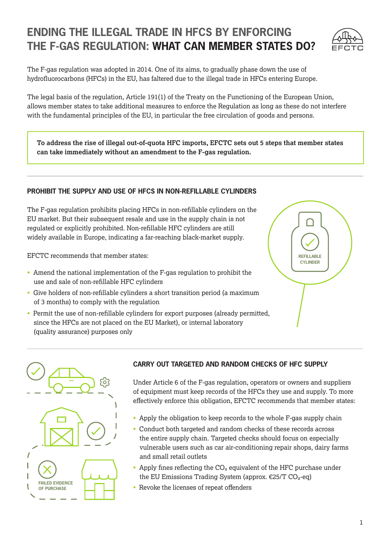# **ENDING THE ILLEGAL TRADE IN HFCS BY ENFORCING THE F-GAS REGULATION: WHAT CAN MEMBER STATES DO?**



The F-gas regulation was adopted in 2014. One of its aims, to gradually phase down the use of hydrofluorocarbons (HFCs) in the EU, has faltered due to the illegal trade in HFCs entering Europe.

The legal basis of the regulation, Article 191(1) of the Treaty on the Functioning of the European Union, allows member states to take additional measures to enforce the Regulation as long as these do not interfere with the fundamental principles of the EU, in particular the free circulation of goods and persons.

**To address the rise of illegal out-of-quota HFC imports, EFCTC sets out 5 steps that member states can take immediately without an amendment to the F-gas regulation.**

# **PROHIBIT THE SUPPLY AND USE OF HFCS IN NON-REFILLABLE CYLINDERS**

The F-gas regulation prohibits placing HFCs in non-refillable cylinders on the EU market. But their subsequent resale and use in the supply chain is not regulated or explicitly prohibited. Non-refillable HFC cylinders are still widely available in Europe, indicating a far-reaching black-market supply.

EFCTC recommends that member states:

- Amend the national implementation of the F-gas regulation to prohibit the use and sale of non-refillable HFC cylinders
- Give holders of non-refillable cylinders a short transition period (a maximum of 3 months) to comply with the regulation
- Permit the use of non-refillable cylinders for export purposes (already permitted, since the HFCs are not placed on the EU Market), or internal laboratory (quality assurance) purposes only





# **CARRY OUT TARGETED AND RANDOM CHECKS OF HFC SUPPLY**

Under Article 6 of the F-gas regulation, operators or owners and suppliers of equipment must keep records of the HFCs they use and supply. To more effectively enforce this obligation, EFCTC recommends that member states:

- Apply the obligation to keep records to the whole F-gas supply chain
- Conduct both targeted and random checks of these records across the entire supply chain. Targeted checks should focus on especially vulnerable users such as car air-conditioning repair shops, dairy farms and small retail outlets
- Apply fines reflecting the  $CO<sub>2</sub>$  equivalent of the HFC purchase under the EU Emissions Trading System (approx.  $\epsilon$ 25/T CO<sub>2</sub>-eq)
- Revoke the licenses of repeat offenders